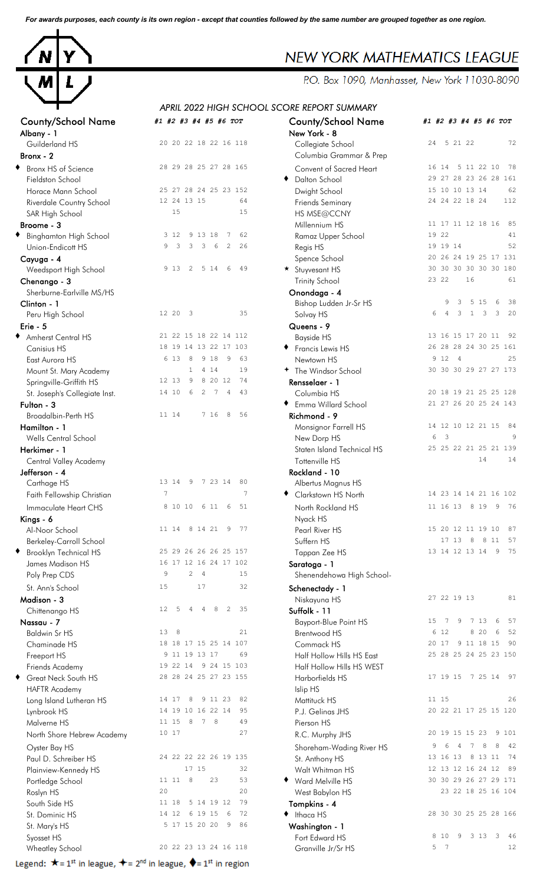*For awards purposes, each county is its own region - except that counties followed by the same number are grouped together as one region.*



### County/School Name *#1 #2 #3 #4 #5 #6 TOT* County/School Name *#1 #2 #3 #4 #5 #6 TOT* Albany - 1 Guilderland HS 20 20 22 18 22 16 118 Bronx - 2 Columbia Grammar & Prep Bronx HS of Science 28 29 28 25 27 28 165 Fieldston School Horace Mann School 25 27 28 24 25 23 152 Riverdale Country School 12 24 13 15 64 SAR High School 15 15 15 **Broome - 3** Millennium HS 11 17 11 12 18 16 85 Binghamton High School 3 12 9 13 18 7 62 Union-Endicott HS 19 3 3 3 4 2 26 **Cayuga - 4** Spence School 20 26 24 19 25 17 131 Weedsport High School 9 13 2 5 14 6 49 **Chenango - 3** Trinity School 23 22 16 61 Sherburne-Earlville MS/HS Clinton - 1 **Clinton - 1** Bishop Ludden Jr-Sr HS 9 3 5 15 6 38 Peru High School 12 20 3 35 Erie - 5 Queens - 9 ◆ Amherst Central HS 21 22 15 18 22 14 112 Canisius HS 18 19 14 13 22 17 103 East Aurora HS 6 13 8 9 18 9 63<br>Mount St. Many Academy 6 1 4 14 19 Mount St. Mary Academy Springville-Griffith HS 12 13 9 8 20 12 74 St. Joseph's Collegiate Inst. 14 10 6 2 7 4 43 Fulton - 3 to  $\bullet$  Emma Willard School  $\bullet$  Emma Willard School  $\bullet$  21 27 26 20 25 24 143 Broadalbin-Perth HS 11 14 7 16 8 56 **Hamilton - 1** 14 12 10 12 21 15 84 Wells Central School Herkimer - 1 **Staten Island Technical HS** 25 25 22 21 25 21 139 Central Valley Academy Jefferson - 4 Carthage HS 13 14 9 7 23 14 80 Faith Fellowship Christian 7 7 <sup>t</sup> Clarkstown HS North 14 23 14 14 21 16 102 Immaculate Heart CHS 8 10 10 6 11 6 51  $Kings - 6$  Nyack HS Al-Noor School 11 14 8 14 21 9 77 Berkeley-Carroll School Brooklyn Technical HS 25 29 26 26 26 25 157 James Madison HS 16 17 12 16 24 17 102 Poly Prep CDS 9 2 4 15 St. Ann's School 15 17 32 **Madison - 3** Niskayuna HS 27 22 19 13 81 Chittenango HS 12 5 4 4 8 2 35 Nassau - 7 **Nassau - 7** Bayport-Blue Point HS 15 7 9 7 13 6 57 Chaminade HS 18 18 17 15 25 14 107<br>Freeport HS 3 11 19 13 17 69 Friends Academy 19 22 14 9 24 15 103 Great Neck South HS 28 28 24 25 27 23 155 HAFTR Academy Long Island Lutheran HS 14 17 8 9 11 23 82 Lynbrook HS 14 19 10 16 22 14 95 Malverne HS 11 15 8 7 8 49 North Shore Hebrew Academy 10 17 27 Paul D. Schreiber HS 24 22 22 22 26 19 135 Plainview-Kennedy HS 17 15 32 Portledge School 11 11 8 23 53<br>
Roslyn HS 30 20 20 South Side HS 11 18 5 14 19 12 79<br>St Dominic HS 14 12 6 19 15 6 72 St. Dominic HS 14 12 6 19 15 6 St. Mary's HS 5 17 15 20 20 9 86 wheatley School 20 22 23 13 24 16 118

Legend:  $\star = 1^{st}$  in league,  $\star = 2^{nd}$  in league,  $\star = 1^{st}$  in region

## **NEW YORK MATHEMATICS LEAGUE**

P.O. Box 1090, Manhasset, New York 11030-8090

### *APRIL 2022 HIGH SCHOOL SCORE REPORT SUMMARY*

|                               |                                                                         | APRIL 2022 HIGH SCHOOL SCORE REPORT SUMMARY |                                             |
|-------------------------------|-------------------------------------------------------------------------|---------------------------------------------|---------------------------------------------|
| ounty/School Name<br>bany - 1 | #1 #2 #3 #4 #5 #6 TOT                                                   | <b>County/School Name</b><br>New York - 8   | #1 #2 #3 #4 #5 #6 TOT                       |
| Guilderland HS                | 20 20 22 18 22 16 118                                                   | Collegiate School                           | 5 21 22<br>72<br>24                         |
| onx - $2$                     |                                                                         | Columbia Grammar & Prep                     |                                             |
| Bronx HS of Science           | 28 29 28 25 27 28 165                                                   | Convent of Sacred Heart                     | 16 14 5 11 22 10<br>78                      |
| Fieldston School              |                                                                         | Dalton School<br>٠                          | 29 27 28 23 26 28 161                       |
| Horace Mann School            | 25 27 28 24 25 23 152                                                   | Dwight School                               | 15 10 10 13 14<br>62                        |
| Riverdale Country School      | 12 24 13 15<br>64                                                       | <b>Friends Seminary</b>                     | 24 24 22 18 24<br>112                       |
| SAR High School               | 15<br>15                                                                | HS MSE@CCNY                                 |                                             |
| oome - 3                      |                                                                         | Millennium HS                               | 11 17 11 12 18 16<br>85                     |
| Binghamton High School        | 3 12<br>9 13 18<br>62<br>7                                              | Ramaz Upper School                          | 19 22<br>41                                 |
| Union-Endicott HS             | 3<br>3<br>3<br>6<br>26<br>9<br>2                                        | Regis HS                                    | 19 19 14<br>52                              |
| ayuga - 4                     |                                                                         | Spence School                               | 20 26 24 19 25 17 131                       |
| Weedsport High School         | 5 14<br>9 1 3<br>2<br>6<br>49                                           | * Stuyvesant HS                             | 30 30 30 30 30 30 180                       |
| henango - 3                   |                                                                         | <b>Trinity School</b>                       | 23 22<br>16<br>61                           |
| Sherburne-Earlville MS/HS     |                                                                         | Onondaga - 4                                |                                             |
| linton - 1                    |                                                                         | Bishop Ludden Jr-Sr HS                      | 5 1 5<br>9<br>6<br>38<br>3                  |
| Peru High School              | 12 20<br>$\overline{\phantom{a}}$<br>35                                 | Solvay HS                                   | 3<br>$\mathbf{1}$<br>3<br>3<br>20<br>6<br>4 |
| ie - 5                        |                                                                         | Queens - 9                                  |                                             |
| Amherst Central HS            | 21 22 15 18 22 14 112                                                   | <b>Bayside HS</b>                           | 13 16 15 17 20 11<br>92                     |
| Canisius HS                   | 18 19 14 13 22 17 103                                                   | ◆ Francis Lewis HS                          | 26 28 28 24 30 25 161                       |
| East Aurora HS                | 6 13<br>8<br>9 18<br>9<br>63                                            | Newtown HS                                  | 9 12 4<br>25                                |
| Mount St. Mary Academy        | $\mathbf{1}$<br>4 1 4<br>19                                             | + The Windsor School                        | 30 30 30 29 27 27 173                       |
| Springville-Griffith HS       | 12 13<br>8 20 12<br>74<br>9                                             | Rensselaer - 1                              |                                             |
| St. Joseph's Collegiate Inst. | 14 10<br>$\overline{2}$<br>$7\phantom{.0}$<br>6<br>$\overline{4}$<br>43 | Columbia HS                                 | 20 18 19 21 25 25 128                       |
| 1ton - 3                      |                                                                         | ◆ Emma Willard School                       | 21 27 26 20 25 24 143                       |
| Broadalbin-Perth HS           | 8<br>11 14<br>7 16<br>56                                                | Richmond - 9                                |                                             |
| amilton - 1                   |                                                                         | Monsignor Farrell HS                        | 14 12 10 12 21 15<br>84                     |
| Wells Central School          |                                                                         | New Dorp HS                                 | $\overline{\mathbf{3}}$<br>6                |
| erkimer - 1                   |                                                                         | Staten Island Technical HS                  | 25 25 22 21 25 21 139                       |
| Central Valley Academy        |                                                                         | Tottenville HS                              | 14<br>14                                    |
| fferson - 4:                  |                                                                         | Rockland - 10                               |                                             |
| Carthage HS                   | 13 14<br>- 9<br>7 23 14<br>80                                           | Albertus Magnus HS                          |                                             |
| Faith Fellowship Christian    | 7<br>7                                                                  | ◆ Clarkstown HS North                       | 14 23 14 14 21 16 102                       |
| Immaculate Heart CHS          | 8 10 10 6 11<br>6<br>51                                                 | North Rockland HS                           | 11 16 13 8 19<br>76<br>9                    |
| ngs - 6                       |                                                                         | Nyack HS                                    |                                             |
| Al-Noor School                | 11 14 8 14 21<br>9<br>77                                                | Pearl River HS                              | 15 20 12 11 19 10<br>87                     |
| Berkeley-Carroll School       |                                                                         | Suffern HS                                  | 17 13<br>57<br>8<br>8 1 1                   |
| Brooklyn Technical HS         | 25 29 26 26 26 25 157                                                   | Tappan Zee HS                               | 75<br>13 14 12 13 14 9                      |
| James Madison HS              | 16 17 12 16 24 17 102                                                   | Saratoga - 1                                |                                             |
| Poly Prep CDS                 | $\overline{c}$<br>9<br>$\overline{4}$<br>15                             | Shenendehowa High School-                   |                                             |
| St. Ann's School              | 17<br>15<br>32                                                          |                                             |                                             |
| adison - 3                    |                                                                         | Schenectady - 1<br>Niskayuna HS             | 27 22 19 13<br>81                           |
| Chittenango HS                | 35<br>12<br>5<br>8<br>2<br>4<br>4                                       | Suffolk - 11                                |                                             |
| assau - 7                     |                                                                         | <b>Bayport-Blue Point HS</b>                | 7 13<br>15<br>9<br>6<br>57<br>-7            |
| Baldwin Sr HS                 | 13<br>- 8<br>21                                                         | Brentwood HS                                | 6 12<br>8 20<br>52<br>6                     |
| Chaminade HS                  | 18 18 17 15 25 14 107                                                   | Commack HS                                  | 9 11 18 15<br>90<br>20 17                   |
| Freeport HS                   | 9 11 19 13 17<br>69                                                     | Half Hollow Hills HS East                   | 25 28 25 24 25 23 150                       |
| Friends Academy               | 9 24 15 103<br>19 22 14                                                 | Half Hollow Hills HS WEST                   |                                             |
| Great Neck South HS           | 28 28 24 25 27 23 155                                                   | Harborfields HS                             | 17 19 15 7 25 14 97                         |
| <b>HAFTR Academy</b>          |                                                                         | Islip HS                                    |                                             |
| Long Island Lutheran HS       | 14 17<br>8<br>9 11 23<br>82                                             | Mattituck HS                                | 11 15<br>26                                 |
| Lynbrook HS                   | 14 19 10 16 22 14<br>95                                                 | P.J. Gelinas JHS                            | 20 22 21 17 25 15 120                       |
| Malverne HS                   | 11 15 8<br>7 8<br>49                                                    | Pierson HS                                  |                                             |
| North Shore Hebrew Academy    | 10 17<br>27                                                             | R.C. Murphy JHS                             | 20 19 15 15 23<br>9 101                     |
|                               |                                                                         |                                             | 8<br>8<br>42<br>7                           |
| Oyster Bay HS                 | 24 22 22 22 26 19 135                                                   | Shoreham-Wading River HS                    | 13 16 13<br>8 13 11<br>74                   |
| Paul D. Schreiber HS          | 17 15<br>32                                                             | St. Anthony HS                              | 12 13 12 16 24 12<br>89                     |
| Plainview-Kennedy HS          | 23<br>11 11 8<br>53                                                     | Walt Whitman HS                             | 30 30 29 26 27 29 171                       |
| Portledge School              | 20<br>20                                                                | Ward Melville HS<br>٠                       | 23 22 18 25 16 104                          |
| Roslyn HS                     | 11 18<br>5 14 19 12<br>79                                               | West Babylon HS                             |                                             |
| South Side HS                 | 14 12<br>6 19 15<br>72<br>- 6                                           | Tompkins - 4                                | 28 30 30 25 25 28 166                       |
| St. Dominic HS                | 5 17 15 20 20<br>86<br>-9                                               | $\bullet$ Ithaca HS                         |                                             |
| St. Mary's HS                 |                                                                         | Washington - 1                              | 3 1 3 3<br>8 10<br>9<br>46                  |
| Syosset HS                    | 20 22 23 13 24 16 118                                                   | Fort Edward HS                              | 5 7<br>12                                   |
| Wheatley School               |                                                                         | Granville Jr/Sr HS                          |                                             |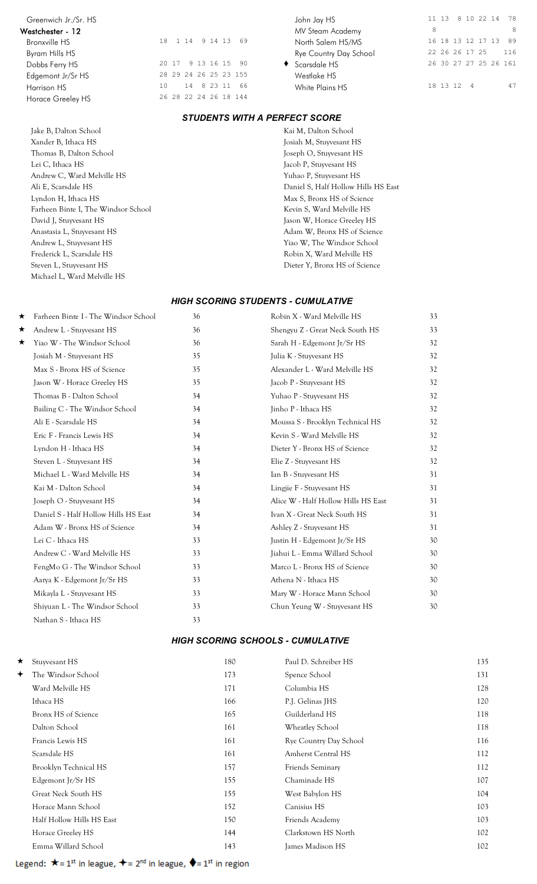# Westchester - 12 MV Steam Academy 8 8 Horace Greeley HS

Jake B, Dalton School Kai M, Dalton School Xander B, Ithaca HS Josiah M, Stuyvesant HS Thomas B, Dalton School Joseph O, Stuyvesant HS Lei C, Ithaca HS Jacob P, Stuyvesant HS Andrew C, Ward Melville HS Yuhao P, Stuyvesant HS Lyndon H, Ithaca HS Max S, Bronx HS of Science Farheen Binte I, The Windsor School Kevin S, Ward Melville HS David J, Stuyvesant HS Jason W, Horace Greeley HS Anastasia L, Stuyvesant HS **Adam W**, Bronx HS of Science Andrew L, Stuyvesant HS Yiao W, The Windsor School Frederick L, Scarsdale HS Robin X, Ward Melville HS Steven L, Stuyvesant HS Dieter Y, Bronx HS of Science Michael L, Ward Melville HS

| /estchester - TZ  |    |  |  |                       | MV Steam Academy       |
|-------------------|----|--|--|-----------------------|------------------------|
| Bronxville HS     |    |  |  | 18 1 14 9 14 13 69    | North Salem HS/MS      |
| Byram Hills HS    |    |  |  |                       | Rye Country Day School |
| Dobbs Ferry HS    |    |  |  | 20 17 9 13 16 15 90   | ◆ Scarsdale HS         |
| Edgemont Jr/Sr HS |    |  |  | 28 29 24 26 25 23 155 | Westlake HS            |
| Harrison HS       | 10 |  |  | 14 8 23 11 66         | White Plains HS        |
| Horace Greeley HS |    |  |  | 26 28 22 24 26 18 144 |                        |

Greenwich Jr./Sr. HS<br> **Greenwich Jr./Sr. HS** 10 22 14 78<br>
MV Steam Academy <sup>8</sup> Bronxville HS 18 1 14 9 14 13 69 North Salem HS/MS 16 18 13 12 17 13 89 Dobbs Ferry HS 20 17 9 13 16 15 90 ♦ Scarsdale HS 26 30 27 27 25 26 161 Edgemont Jr/Sr HS 28 29 24 26 25 23 155 Westlake HS Harrison HS 10 10 14 8 23 11 66 White Plains HS 18 13 12 4 47

### *STUDENTS WITH A PERFECT SCORE*

Ali E, Scarsdale HS Daniel S, Half Hollow Hills HS East

#### *HIGH SCORING STUDENTS - CUMULATIVE*

|   |                                      | 36 |                                     |    |
|---|--------------------------------------|----|-------------------------------------|----|
| ★ | Farheen Binte I - The Windsor School |    | Robin X - Ward Melville HS          | 33 |
| ★ | Andrew L - Stuyvesant HS             | 36 | Shengyu Z - Great Neck South HS     | 33 |
| ★ | Yiao W - The Windsor School          | 36 | Sarah H - Edgemont Jr/Sr HS         | 32 |
|   | Josiah M - Stuyvesant HS             | 35 | Julia K - Stuyvesant HS             | 32 |
|   | Max S - Bronx HS of Science          | 35 | Alexander L - Ward Melville HS      | 32 |
|   | Jason W - Horace Greeley HS          | 35 | Jacob P - Stuyvesant HS             | 32 |
|   | Thomas B - Dalton School             | 34 | Yuhao P - Stuyvesant HS             | 32 |
|   | Bailing C - The Windsor School       | 34 | Jinho P - Ithaca HS                 | 32 |
|   | Ali E - Scarsdale HS                 | 34 | Moussa S - Brooklyn Technical HS    | 32 |
|   | Eric F - Francis Lewis HS            | 34 | Kevin S - Ward Melville HS          | 32 |
|   | Lyndon H - Ithaca HS                 | 34 | Dieter Y - Bronx HS of Science      | 32 |
|   | Steven L - Stuyvesant HS             | 34 | Elie Z - Stuyvesant HS              | 32 |
|   | Michael L - Ward Melville HS         | 34 | Ian B - Stuyvesant HS               | 31 |
|   | Kai M - Dalton School                | 34 | Lingjie F - Stuyvesant HS           | 31 |
|   | Joseph O - Stuyvesant HS             | 34 | Alice W - Half Hollow Hills HS East | 31 |
|   | Daniel S - Half Hollow Hills HS East | 34 | Ivan X - Great Neck South HS        | 31 |
|   | Adam W - Bronx HS of Science         | 34 | Ashley Z - Stuyvesant HS            | 31 |
|   | Lei C - Ithaca HS                    | 33 | Justin H - Edgemont Jr/Sr HS        | 30 |
|   | Andrew C - Ward Melville HS          | 33 | Jiahui L - Emma Willard School      | 30 |
|   | FengMo G - The Windsor School        | 33 | Marco L - Bronx HS of Science       | 30 |
|   | Aarya K - Edgemont Jr/Sr HS          | 33 | Athena N - Ithaca HS                | 30 |
|   | Mikayla L - Stuyvesant HS            | 33 | Mary W - Horace Mann School         | 30 |
|   | Shiyuan L - The Windsor School       | 33 | Chun Yeung W - Stuyvesant HS        | 30 |
|   | Nathan S - Ithaca HS                 | 33 |                                     |    |

### *HIGH SCORING SCHOOLS - CUMULATIVE*

| $\star$    | Stuyvesant HS             | 180 | Paul D. Schreiber HS      | 135 |
|------------|---------------------------|-----|---------------------------|-----|
| $\bigstar$ | The Windsor School        | 173 | Spence School             | 131 |
|            | Ward Melville HS          | 171 | Columbia HS               | 128 |
|            | Ithaca HS                 | 166 | P.J. Gelinas JHS          | 120 |
|            | Bronx HS of Science       | 165 | Guilderland HS            | 118 |
|            | Dalton School             | 161 | Wheatley School           | 118 |
|            | Francis Lewis HS          | 161 | Rye Country Day School    | 116 |
|            | Scarsdale HS              | 161 | <b>Amherst Central HS</b> | 112 |
|            | Brooklyn Technical HS     | 157 | Friends Seminary          | 112 |
|            | Edgemont Jr/Sr HS         | 155 | Chaminade HS              | 107 |
|            | Great Neck South HS       | 155 | West Babylon HS           | 104 |
|            | Horace Mann School        | 152 | Canisius HS               | 103 |
|            | Half Hollow Hills HS East | 150 | Friends Academy           | 103 |
|            | Horace Greeley HS         | 144 | Clarkstown HS North       | 102 |
|            | Emma Willard School       | 143 | James Madison HS          | 102 |
|            |                           |     |                           |     |

Legend:  $\star$  = 1<sup>st</sup> in league,  $\star$  = 2<sup>nd</sup> in league,  $\star$  = 1<sup>st</sup> in region